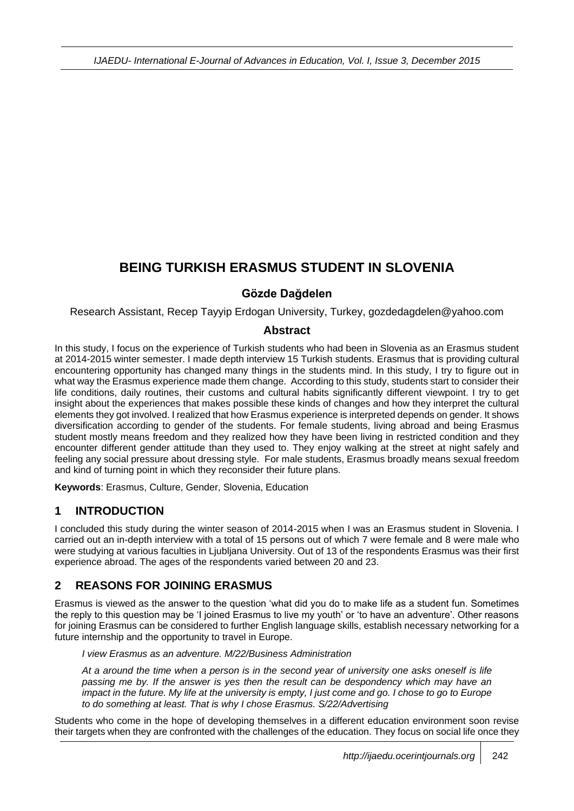# **BEING TURKISH ERASMUS STUDENT IN SLOVENIA**

### **Gözde Dağdelen**

Research Assistant, Recep Tayyip Erdogan University, Turkey, gozdedagdelen@yahoo.com

#### **Abstract**

In this study, I focus on the experience of Turkish students who had been in Slovenia as an Erasmus student at 2014-2015 winter semester. I made depth interview 15 Turkish students. Erasmus that is providing cultural encountering opportunity has changed many things in the students mind. In this study, I try to figure out in what way the Erasmus experience made them change. According to this study, students start to consider their life conditions, daily routines, their customs and cultural habits significantly different viewpoint. I try to get insight about the experiences that makes possible these kinds of changes and how they interpret the cultural elements they got involved. I realized that how Erasmus experience is interpreted depends on gender. It shows diversification according to gender of the students. For female students, living abroad and being Erasmus student mostly means freedom and they realized how they have been living in restricted condition and they encounter different gender attitude than they used to. They enjoy walking at the street at night safely and feeling any social pressure about dressing style. For male students, Erasmus broadly means sexual freedom and kind of turning point in which they reconsider their future plans.

**Keywords**: Erasmus, Culture, Gender, Slovenia, Education

# **1 INTRODUCTION**

I concluded this study during the winter season of 2014-2015 when I was an Erasmus student in Slovenia. I carried out an in-depth interview with a total of 15 persons out of which 7 were female and 8 were male who were studying at various faculties in Ljubljana University. Out of 13 of the respondents Erasmus was their first experience abroad. The ages of the respondents varied between 20 and 23.

# **2 REASONS FOR JOINING ERASMUS**

Erasmus is viewed as the answer to the question 'what did you do to make life as a student fun. Sometimes the reply to this question may be 'I joined Erasmus to live my youth' or 'to have an adventure'. Other reasons for joining Erasmus can be considered to further English language skills, establish necessary networking for a future internship and the opportunity to travel in Europe.

*I view Erasmus as an adventure. M/22/Business Administration*

*At a around the time when a person is in the second year of university one asks oneself is life passing me by. If the answer is yes then the result can be despondency which may have an impact in the future. My life at the university is empty, I just come and go. I chose to go to Europe to do something at least. That is why I chose Erasmus. S/22/Advertising*

Students who come in the hope of developing themselves in a different education environment soon revise their targets when they are confronted with the challenges of the education. They focus on social life once they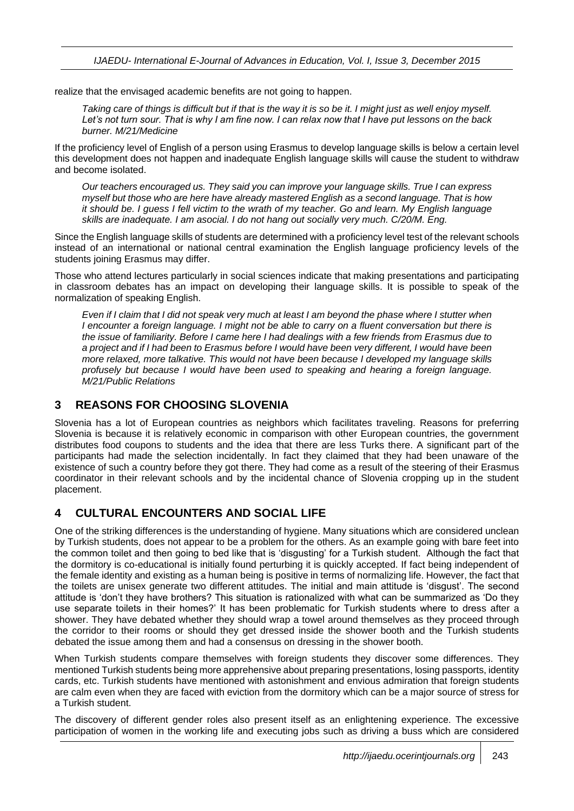realize that the envisaged academic benefits are not going to happen.

*Taking care of things is difficult but if that is the way it is so be it. I might just as well enjoy myself. Let's not turn sour. That is why I am fine now. I can relax now that I have put lessons on the back burner. M/21/Medicine*

If the proficiency level of English of a person using Erasmus to develop language skills is below a certain level this development does not happen and inadequate English language skills will cause the student to withdraw and become isolated.

*Our teachers encouraged us. They said you can improve your language skills. True I can express myself but those who are here have already mastered English as a second language. That is how it should be. I guess I fell victim to the wrath of my teacher. Go and learn. My English language skills are inadequate. I am asocial. I do not hang out socially very much. C/20/M. Eng.*

Since the English language skills of students are determined with a proficiency level test of the relevant schools instead of an international or national central examination the English language proficiency levels of the students joining Erasmus may differ.

Those who attend lectures particularly in social sciences indicate that making presentations and participating in classroom debates has an impact on developing their language skills. It is possible to speak of the normalization of speaking English.

*Even if I claim that I did not speak very much at least I am beyond the phase where I stutter when I encounter a foreign language. I might not be able to carry on a fluent conversation but there is the issue of familiarity. Before I came here I had dealings with a few friends from Erasmus due to a project and if I had been to Erasmus before I would have been very different, I would have been more relaxed, more talkative. This would not have been because I developed my language skills profusely but because I would have been used to speaking and hearing a foreign language. M/21/Public Relations*

### **3 REASONS FOR CHOOSING SLOVENIA**

Slovenia has a lot of European countries as neighbors which facilitates traveling. Reasons for preferring Slovenia is because it is relatively economic in comparison with other European countries, the government distributes food coupons to students and the idea that there are less Turks there. A significant part of the participants had made the selection incidentally. In fact they claimed that they had been unaware of the existence of such a country before they got there. They had come as a result of the steering of their Erasmus coordinator in their relevant schools and by the incidental chance of Slovenia cropping up in the student placement.

# **4 CULTURAL ENCOUNTERS AND SOCIAL LIFE**

One of the striking differences is the understanding of hygiene. Many situations which are considered unclean by Turkish students, does not appear to be a problem for the others. As an example going with bare feet into the common toilet and then going to bed like that is 'disgusting' for a Turkish student. Although the fact that the dormitory is co-educational is initially found perturbing it is quickly accepted. If fact being independent of the female identity and existing as a human being is positive in terms of normalizing life. However, the fact that the toilets are unisex generate two different attitudes. The initial and main attitude is 'disgust'. The second attitude is 'don't they have brothers? This situation is rationalized with what can be summarized as 'Do they use separate toilets in their homes?' It has been problematic for Turkish students where to dress after a shower. They have debated whether they should wrap a towel around themselves as they proceed through the corridor to their rooms or should they get dressed inside the shower booth and the Turkish students debated the issue among them and had a consensus on dressing in the shower booth.

When Turkish students compare themselves with foreign students they discover some differences. They mentioned Turkish students being more apprehensive about preparing presentations, losing passports, identity cards, etc. Turkish students have mentioned with astonishment and envious admiration that foreign students are calm even when they are faced with eviction from the dormitory which can be a major source of stress for a Turkish student.

The discovery of different gender roles also present itself as an enlightening experience. The excessive participation of women in the working life and executing jobs such as driving a buss which are considered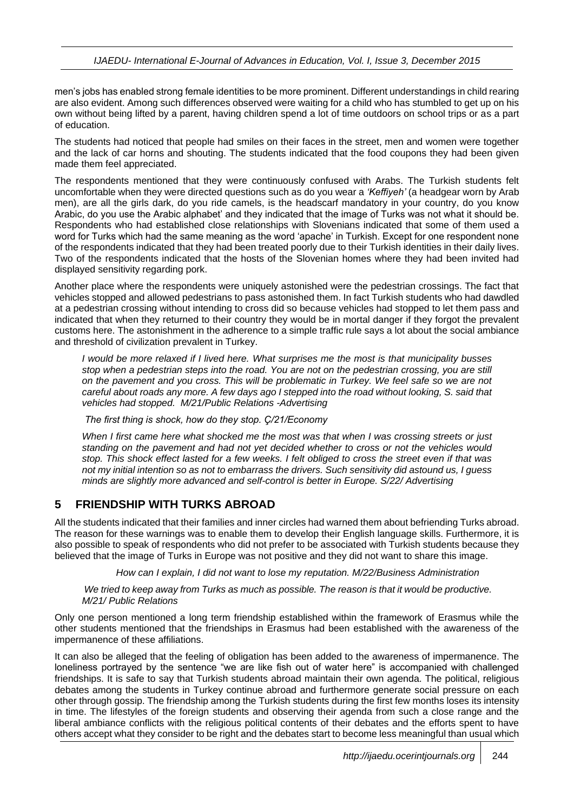men's jobs has enabled strong female identities to be more prominent. Different understandings in child rearing are also evident. Among such differences observed were waiting for a child who has stumbled to get up on his own without being lifted by a parent, having children spend a lot of time outdoors on school trips or as a part of education.

The students had noticed that people had smiles on their faces in the street, men and women were together and the lack of car horns and shouting. The students indicated that the food coupons they had been given made them feel appreciated.

The respondents mentioned that they were continuously confused with Arabs. The Turkish students felt uncomfortable when they were directed questions such as do you wear a *'Keffiyeh'* (a headgear worn by Arab men), are all the girls dark, do you ride camels, is the headscarf mandatory in your country, do you know Arabic, do you use the Arabic alphabet' and they indicated that the image of Turks was not what it should be. Respondents who had established close relationships with Slovenians indicated that some of them used a word for Turks which had the same meaning as the word 'apache' in Turkish. Except for one respondent none of the respondents indicated that they had been treated poorly due to their Turkish identities in their daily lives. Two of the respondents indicated that the hosts of the Slovenian homes where they had been invited had displayed sensitivity regarding pork.

Another place where the respondents were uniquely astonished were the pedestrian crossings. The fact that vehicles stopped and allowed pedestrians to pass astonished them. In fact Turkish students who had dawdled at a pedestrian crossing without intending to cross did so because vehicles had stopped to let them pass and indicated that when they returned to their country they would be in mortal danger if they forgot the prevalent customs here. The astonishment in the adherence to a simple traffic rule says a lot about the social ambiance and threshold of civilization prevalent in Turkey.

*I would be more relaxed if I lived here. What surprises me the most is that municipality busses stop when a pedestrian steps into the road. You are not on the pedestrian crossing, you are still on the pavement and you cross. This will be problematic in Turkey. We feel safe so we are not careful about roads any more. A few days ago I stepped into the road without looking, S. said that vehicles had stopped. M/21/Public Relations -Advertising*

*The first thing is shock, how do they stop. Ç/21/Economy* 

*When I first came here what shocked me the most was that when I was crossing streets or just standing on the pavement and had not yet decided whether to cross or not the vehicles would stop. This shock effect lasted for a few weeks. I felt obliged to cross the street even if that was not my initial intention so as not to embarrass the drivers. Such sensitivity did astound us, I guess minds are slightly more advanced and self-control is better in Europe. S/22/ Advertising*

#### **5 FRIENDSHIP WITH TURKS ABROAD**

All the students indicated that their families and inner circles had warned them about befriending Turks abroad. The reason for these warnings was to enable them to develop their English language skills. Furthermore, it is also possible to speak of respondents who did not prefer to be associated with Turkish students because they believed that the image of Turks in Europe was not positive and they did not want to share this image.

*How can I explain, I did not want to lose my reputation. M/22/Business Administration*

*We tried to keep away from Turks as much as possible. The reason is that it would be productive. M/21/ Public Relations*

Only one person mentioned a long term friendship established within the framework of Erasmus while the other students mentioned that the friendships in Erasmus had been established with the awareness of the impermanence of these affiliations.

It can also be alleged that the feeling of obligation has been added to the awareness of impermanence. The loneliness portrayed by the sentence "we are like fish out of water here" is accompanied with challenged friendships. It is safe to say that Turkish students abroad maintain their own agenda. The political, religious debates among the students in Turkey continue abroad and furthermore generate social pressure on each other through gossip. The friendship among the Turkish students during the first few months loses its intensity in time. The lifestyles of the foreign students and observing their agenda from such a close range and the liberal ambiance conflicts with the religious political contents of their debates and the efforts spent to have others accept what they consider to be right and the debates start to become less meaningful than usual which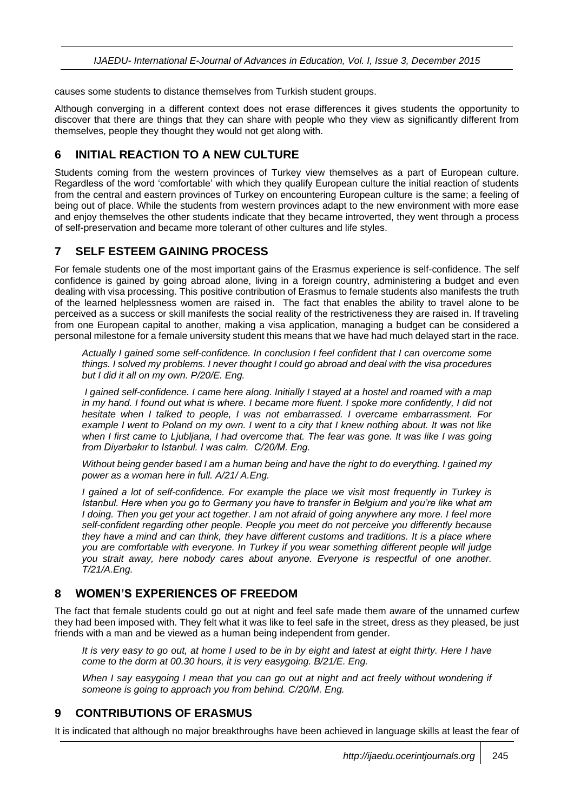causes some students to distance themselves from Turkish student groups.

Although converging in a different context does not erase differences it gives students the opportunity to discover that there are things that they can share with people who they view as significantly different from themselves, people they thought they would not get along with.

# **6 INITIAL REACTION TO A NEW CULTURE**

Students coming from the western provinces of Turkey view themselves as a part of European culture. Regardless of the word 'comfortable' with which they qualify European culture the initial reaction of students from the central and eastern provinces of Turkey on encountering European culture is the same; a feeling of being out of place. While the students from western provinces adapt to the new environment with more ease and enjoy themselves the other students indicate that they became introverted, they went through a process of self-preservation and became more tolerant of other cultures and life styles.

### **7 SELF ESTEEM GAINING PROCESS**

For female students one of the most important gains of the Erasmus experience is self-confidence. The self confidence is gained by going abroad alone, living in a foreign country, administering a budget and even dealing with visa processing. This positive contribution of Erasmus to female students also manifests the truth of the learned helplessness women are raised in. The fact that enables the ability to travel alone to be perceived as a success or skill manifests the social reality of the restrictiveness they are raised in. If traveling from one European capital to another, making a visa application, managing a budget can be considered a personal milestone for a female university student this means that we have had much delayed start in the race.

*Actually I gained some self-confidence. In conclusion I feel confident that I can overcome some things. I solved my problems. I never thought I could go abroad and deal with the visa procedures but I did it all on my own. P/20/E. Eng.*

*I gained self-confidence. I came here along. Initially I stayed at a hostel and roamed with a map in my hand. I found out what is where. I became more fluent. I spoke more confidently, I did not hesitate when I talked to people, I was not embarrassed. I overcame embarrassment. For example I went to Poland on my own. I went to a city that I knew nothing about. It was not like when I first came to Ljubljana, I had overcome that. The fear was gone. It was like I was going from Diyarbakır to Istanbul. I was calm. C/20/M. Eng.* 

*Without being gender based I am a human being and have the right to do everything. I gained my power as a woman here in full. A/21/ A.Eng.*

*I gained a lot of self-confidence. For example the place we visit most frequently in Turkey is Istanbul. Here when you go to Germany you have to transfer in Belgium and you're like what am I doing. Then you get your act together. I am not afraid of going anywhere any more. I feel more self-confident regarding other people. People you meet do not perceive you differently because they have a mind and can think, they have different customs and traditions. It is a place where you are comfortable with everyone. In Turkey if you wear something different people will judge you strait away, here nobody cares about anyone. Everyone is respectful of one another. T/21/A.Eng.*

#### **8 WOMEN'S EXPERIENCES OF FREEDOM**

The fact that female students could go out at night and feel safe made them aware of the unnamed curfew they had been imposed with. They felt what it was like to feel safe in the street, dress as they pleased, be just friends with a man and be viewed as a human being independent from gender.

*It is very easy to go out, at home I used to be in by eight and latest at eight thirty. Here I have come to the dorm at 00.30 hours, it is very easygoing. B/21/E. Eng.*

*When I say easygoing I mean that you can go out at night and act freely without wondering if someone is going to approach you from behind. C/20/M. Eng.*

# **9 CONTRIBUTIONS OF ERASMUS**

It is indicated that although no major breakthroughs have been achieved in language skills at least the fear of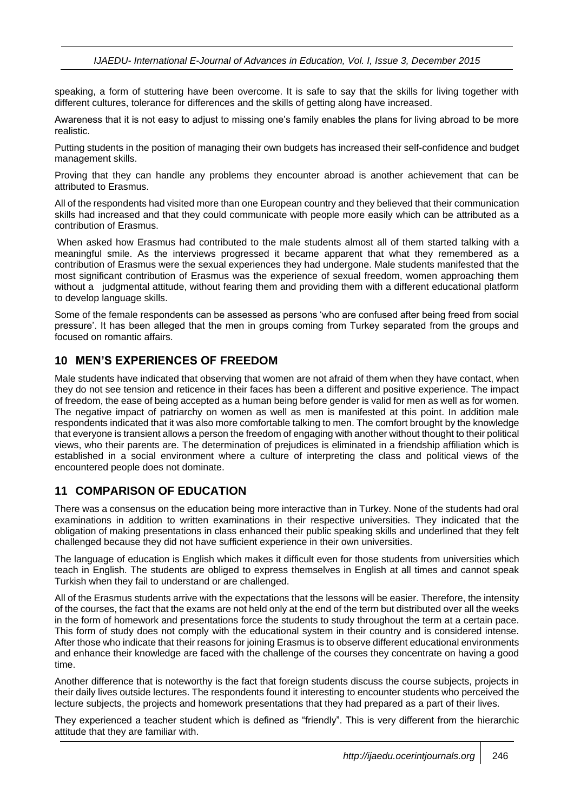speaking, a form of stuttering have been overcome. It is safe to say that the skills for living together with different cultures, tolerance for differences and the skills of getting along have increased.

Awareness that it is not easy to adjust to missing one's family enables the plans for living abroad to be more realistic.

Putting students in the position of managing their own budgets has increased their self-confidence and budget management skills.

Proving that they can handle any problems they encounter abroad is another achievement that can be attributed to Erasmus.

All of the respondents had visited more than one European country and they believed that their communication skills had increased and that they could communicate with people more easily which can be attributed as a contribution of Erasmus.

When asked how Erasmus had contributed to the male students almost all of them started talking with a meaningful smile. As the interviews progressed it became apparent that what they remembered as a contribution of Erasmus were the sexual experiences they had undergone. Male students manifested that the most significant contribution of Erasmus was the experience of sexual freedom, women approaching them without a judgmental attitude, without fearing them and providing them with a different educational platform to develop language skills.

Some of the female respondents can be assessed as persons 'who are confused after being freed from social pressure'. It has been alleged that the men in groups coming from Turkey separated from the groups and focused on romantic affairs.

#### **10 MEN'S EXPERIENCES OF FREEDOM**

Male students have indicated that observing that women are not afraid of them when they have contact, when they do not see tension and reticence in their faces has been a different and positive experience. The impact of freedom, the ease of being accepted as a human being before gender is valid for men as well as for women. The negative impact of patriarchy on women as well as men is manifested at this point. In addition male respondents indicated that it was also more comfortable talking to men. The comfort brought by the knowledge that everyone is transient allows a person the freedom of engaging with another without thought to their political views, who their parents are. The determination of prejudices is eliminated in a friendship affiliation which is established in a social environment where a culture of interpreting the class and political views of the encountered people does not dominate.

#### **11 COMPARISON OF EDUCATION**

There was a consensus on the education being more interactive than in Turkey. None of the students had oral examinations in addition to written examinations in their respective universities. They indicated that the obligation of making presentations in class enhanced their public speaking skills and underlined that they felt challenged because they did not have sufficient experience in their own universities.

The language of education is English which makes it difficult even for those students from universities which teach in English. The students are obliged to express themselves in English at all times and cannot speak Turkish when they fail to understand or are challenged.

All of the Erasmus students arrive with the expectations that the lessons will be easier. Therefore, the intensity of the courses, the fact that the exams are not held only at the end of the term but distributed over all the weeks in the form of homework and presentations force the students to study throughout the term at a certain pace. This form of study does not comply with the educational system in their country and is considered intense. After those who indicate that their reasons for joining Erasmus is to observe different educational environments and enhance their knowledge are faced with the challenge of the courses they concentrate on having a good time.

Another difference that is noteworthy is the fact that foreign students discuss the course subjects, projects in their daily lives outside lectures. The respondents found it interesting to encounter students who perceived the lecture subjects, the projects and homework presentations that they had prepared as a part of their lives.

They experienced a teacher student which is defined as "friendly". This is very different from the hierarchic attitude that they are familiar with.